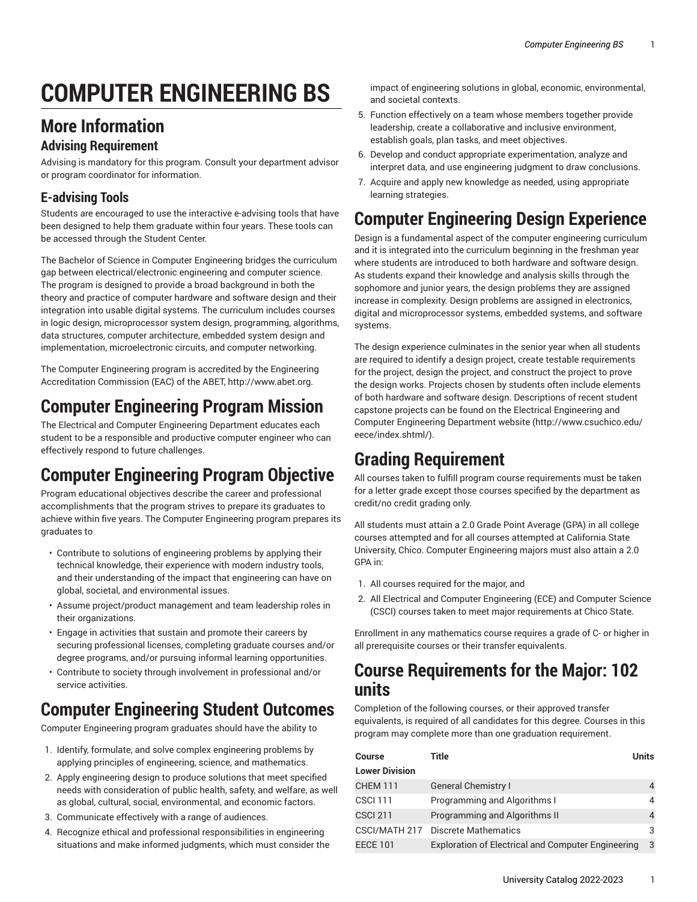# **COMPUTER ENGINEERING BS**

#### **More Information**

#### **Advising Requirement**

Advising is mandatory for this program. Consult your department advisor or program coordinator for information.

#### **E-advising Tools**

Students are encouraged to use the interactive e-advising tools that have been designed to help them graduate within four years. These tools can be accessed through the Student Center.

The Bachelor of Science in Computer Engineering bridges the curriculum gap between electrical/electronic engineering and computer science. The program is designed to provide a broad background in both the theory and practice of computer hardware and software design and their integration into usable digital systems. The curriculum includes courses in logic design, microprocessor system design, programming, algorithms, data structures, computer architecture, embedded system design and implementation, microelectronic circuits, and computer networking.

The Computer Engineering program is accredited by the Engineering Accreditation Commission (EAC) of the ABET, <http://www.abet.org>.

#### **Computer Engineering Program Mission**

The Electrical and Computer Engineering Department educates each student to be a responsible and productive computer engineer who can effectively respond to future challenges.

### **Computer Engineering Program Objective**

Program educational objectives describe the career and professional accomplishments that the program strives to prepare its graduates to achieve within five years. The Computer Engineering program prepares its graduates to

- Contribute to solutions of engineering problems by applying their technical knowledge, their experience with modern industry tools, and their understanding of the impact that engineering can have on global, societal, and environmental issues.
- Assume project/product management and team leadership roles in their organizations.
- Engage in activities that sustain and promote their careers by securing professional licenses, completing graduate courses and/or degree programs, and/or pursuing informal learning opportunities.
- Contribute to society through involvement in professional and/or service activities.

#### **Computer Engineering Student Outcomes**

Computer Engineering program graduates should have the ability to

- 1. Identify, formulate, and solve complex engineering problems by applying principles of engineering, science, and mathematics.
- 2. Apply engineering design to produce solutions that meet specified needs with consideration of public health, safety, and welfare, as well as global, cultural, social, environmental, and economic factors.
- 3. Communicate effectively with a range of audiences.
- 4. Recognize ethical and professional responsibilities in engineering situations and make informed judgments, which must consider the

impact of engineering solutions in global, economic, environmental, and societal contexts.

- 5. Function effectively on a team whose members together provide leadership, create a collaborative and inclusive environment, establish goals, plan tasks, and meet objectives.
- 6. Develop and conduct appropriate experimentation, analyze and interpret data, and use engineering judgment to draw conclusions.
- 7. Acquire and apply new knowledge as needed, using appropriate learning strategies.

### **Computer Engineering Design Experience**

Design is a fundamental aspect of the computer engineering curriculum and it is integrated into the curriculum beginning in the freshman year where students are introduced to both hardware and software design. As students expand their knowledge and analysis skills through the sophomore and junior years, the design problems they are assigned increase in complexity. Design problems are assigned in electronics, digital and microprocessor systems, embedded systems, and software systems.

The design experience culminates in the senior year when all students are required to identify a design project, create testable requirements for the project, design the project, and construct the project to prove the design works. Projects chosen by students often include elements of both hardware and software design. Descriptions of recent student capstone projects can be found on the [Electrical Engineering and](http://www.csuchico.edu/eece/index.shtml/) Computer [Engineering](http://www.csuchico.edu/eece/index.shtml/) Department website [\(http://www.csuchico.edu/](http://www.csuchico.edu/eece/index.shtml/) [eece/index.shtml/\)](http://www.csuchico.edu/eece/index.shtml/).

### **Grading Requirement**

All courses taken to fulfill program course requirements must be taken for a letter grade except those courses specified by the department as credit/no credit grading only.

All students must attain a 2.0 Grade Point Average (GPA) in all college courses attempted and for all courses attempted at California State University, Chico. Computer Engineering majors must also attain a 2.0 GPA in:

- 1. All courses required for the major, and
- 2. All Electrical and Computer Engineering (ECE) and Computer Science (CSCI) courses taken to meet major requirements at Chico State.

Enrollment in any mathematics course requires a grade of C- or higher in all prerequisite courses or their transfer equivalents.

#### **Course Requirements for the Major: 102 units**

Completion of the following courses, or their approved transfer equivalents, is required of all candidates for this degree. Courses in this program may complete more than one graduation requirement.

| Course                | Title                                                     | <b>Units</b>   |
|-----------------------|-----------------------------------------------------------|----------------|
| <b>Lower Division</b> |                                                           |                |
| <b>CHEM 111</b>       | <b>General Chemistry I</b>                                | 4              |
| <b>CSCI 111</b>       | Programming and Algorithms I                              | 4              |
| <b>CSCI 211</b>       | Programming and Algorithms II                             | $\overline{4}$ |
| CSCI/MATH 217         | Discrete Mathematics                                      | 3              |
| <b>EECE 101</b>       | <b>Exploration of Electrical and Computer Engineering</b> | 3              |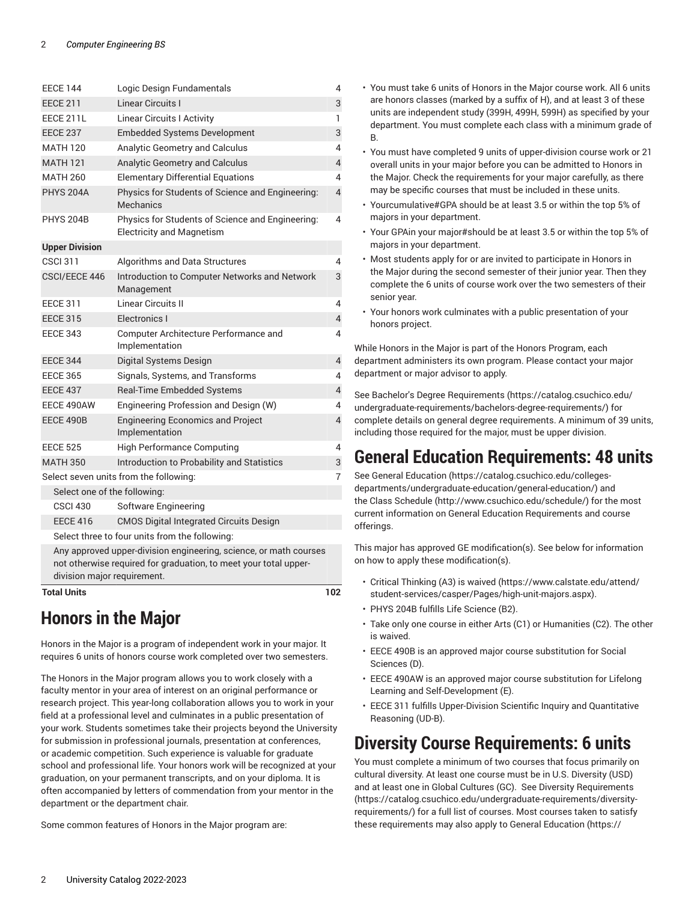| <b>EECE 144</b>                                                                                                                       | Logic Design Fundamentals                                                            | 4              |  |
|---------------------------------------------------------------------------------------------------------------------------------------|--------------------------------------------------------------------------------------|----------------|--|
| <b>EECE 211</b>                                                                                                                       | <b>Linear Circuits I</b>                                                             | 3              |  |
| EECE 211L                                                                                                                             | <b>Linear Circuits I Activity</b>                                                    | 1              |  |
| <b>EECE 237</b>                                                                                                                       | <b>Embedded Systems Development</b>                                                  | 3              |  |
| <b>MATH 120</b>                                                                                                                       | <b>Analytic Geometry and Calculus</b>                                                | 4              |  |
| <b>MATH 121</b>                                                                                                                       | Analytic Geometry and Calculus                                                       | $\overline{4}$ |  |
| <b>MATH 260</b>                                                                                                                       | <b>Elementary Differential Equations</b>                                             | 4              |  |
| <b>PHYS 204A</b>                                                                                                                      | Physics for Students of Science and Engineering:<br><b>Mechanics</b>                 | $\overline{4}$ |  |
| <b>PHYS 204B</b>                                                                                                                      | Physics for Students of Science and Engineering:<br><b>Electricity and Magnetism</b> | 4              |  |
| <b>Upper Division</b>                                                                                                                 |                                                                                      |                |  |
| <b>CSCI 311</b>                                                                                                                       | Algorithms and Data Structures                                                       | 4              |  |
| CSCI/EECE 446                                                                                                                         | Introduction to Computer Networks and Network<br>Management                          | 3              |  |
| <b>EECE 311</b>                                                                                                                       | Linear Circuits II                                                                   | 4              |  |
| <b>EECE 315</b>                                                                                                                       | Electronics I                                                                        | 4              |  |
| <b>EECE 343</b>                                                                                                                       | Computer Architecture Performance and<br>Implementation                              | 4              |  |
| <b>EECE 344</b>                                                                                                                       | Digital Systems Design                                                               | 4              |  |
| <b>EECE 365</b>                                                                                                                       | Signals, Systems, and Transforms                                                     | 4              |  |
| <b>EECE 437</b>                                                                                                                       | Real-Time Embedded Systems                                                           | 4              |  |
| EECE 490AW                                                                                                                            | Engineering Profession and Design (W)                                                | 4              |  |
| EECE 490B                                                                                                                             | <b>Engineering Economics and Project</b><br>Implementation                           | $\overline{4}$ |  |
| <b>EECE 525</b>                                                                                                                       | <b>High Performance Computing</b>                                                    | 4              |  |
| <b>MATH 350</b>                                                                                                                       | Introduction to Probability and Statistics                                           | 3              |  |
|                                                                                                                                       | Select seven units from the following:                                               | 7              |  |
| Select one of the following:                                                                                                          |                                                                                      |                |  |
| <b>CSCI 430</b>                                                                                                                       | <b>Software Engineering</b>                                                          |                |  |
| <b>EECE 416</b>                                                                                                                       | <b>CMOS Digital Integrated Circuits Design</b>                                       |                |  |
| Select three to four units from the following:                                                                                        |                                                                                      |                |  |
| Any approved upper-division engineering, science, or math courses<br>not otherwise required for graduation, to meet your total upper- |                                                                                      |                |  |
| division major requirement.                                                                                                           |                                                                                      |                |  |
| <b>Total Units</b>                                                                                                                    |                                                                                      | 102            |  |

## **Honors in the Major**

Honors in the Major is a program of independent work in your major. It requires 6 units of honors course work completed over two semesters.

The Honors in the Major program allows you to work closely with a faculty mentor in your area of interest on an original performance or research project. This year-long collaboration allows you to work in your field at a professional level and culminates in a public presentation of your work. Students sometimes take their projects beyond the University for submission in professional journals, presentation at conferences, or academic competition. Such experience is valuable for graduate school and professional life. Your honors work will be recognized at your graduation, on your permanent transcripts, and on your diploma. It is often accompanied by letters of commendation from your mentor in the department or the department chair.

Some common features of Honors in the Major program are:

- You must take 6 units of Honors in the Major course work. All 6 units are honors classes (marked by a suffix of H), and at least 3 of these units are independent study (399H, 499H, 599H) as specified by your department. You must complete each class with a minimum grade of B.
- You must have completed 9 units of upper-division course work or 21 overall units in your major before you can be admitted to Honors in the Major. Check the requirements for your major carefully, as there may be specific courses that must be included in these units.
- Yourcumulative#GPA should be at least 3.5 or within the top 5% of majors in your department.
- Your GPAin your major#should be at least 3.5 or within the top 5% of majors in your department.
- Most students apply for or are invited to participate in Honors in the Major during the second semester of their junior year. Then they complete the 6 units of course work over the two semesters of their senior year.
- Your honors work culminates with a public presentation of your honors project.

While Honors in the Major is part of the Honors Program, each department administers its own program. Please contact your major department or major advisor to apply.

See Bachelor's Degree [Requirements \(https://catalog.csuchico.edu/](https://catalog.csuchico.edu/undergraduate-requirements/bachelors-degree-requirements/) [undergraduate-requirements/bachelors-degree-requirements/](https://catalog.csuchico.edu/undergraduate-requirements/bachelors-degree-requirements/)) for complete details on general degree requirements. A minimum of 39 units, including those required for the major, must be upper division.

#### **General Education Requirements: 48 units**

See General [Education \(https://catalog.csuchico.edu/colleges](https://catalog.csuchico.edu/colleges-departments/undergraduate-education/general-education/)[departments/undergraduate-education/general-education/\)](https://catalog.csuchico.edu/colleges-departments/undergraduate-education/general-education/) and the [Class Schedule](http://www.csuchico.edu/schedule/) ([http://www.csuchico.edu/schedule/\)](http://www.csuchico.edu/schedule/) for the most current information on General Education Requirements and course offerings.

This major has approved GE modification(s). See below for information on how to apply these modification(s).

- Critical [Thinking](https://www.calstate.edu/attend/student-services/casper/Pages/high-unit-majors.aspx) (A3) is waived ([https://www.calstate.edu/attend/](https://www.calstate.edu/attend/student-services/casper/Pages/high-unit-majors.aspx) [student-services/casper/Pages/high-unit-majors.aspx\)](https://www.calstate.edu/attend/student-services/casper/Pages/high-unit-majors.aspx).
- PHYS 204B fulfills Life Science (B2).
- Take only one course in either Arts (C1) or Humanities (C2). The other is waived.
- EECE 490B is an approved major course substitution for Social Sciences (D).
- EECE 490AW is an approved major course substitution for Lifelong Learning and Self-Development (E).
- EECE 311 fulfills Upper-Division Scientific Inquiry and Quantitative Reasoning (UD-B).

#### **Diversity Course Requirements: 6 units**

You must complete a minimum of two courses that focus primarily on cultural diversity. At least one course must be in U.S. Diversity (USD) and at least one in Global Cultures (GC). See Diversity [Requirements](https://catalog.csuchico.edu/undergraduate-requirements/diversity-requirements/) [\(https://catalog.csuchico.edu/undergraduate-requirements/diversity](https://catalog.csuchico.edu/undergraduate-requirements/diversity-requirements/)[requirements/](https://catalog.csuchico.edu/undergraduate-requirements/diversity-requirements/)) for a full list of courses. Most courses taken to satisfy these requirements may also apply to General [Education \(https://](https://catalog.csuchico.edu/colleges-departments/undergraduate-education/general-education/)